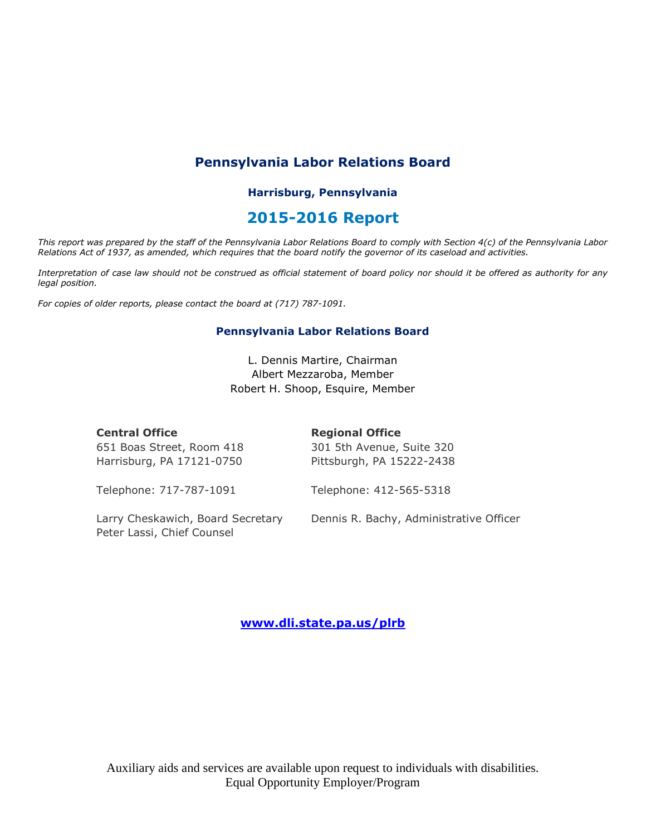# **Pennsylvania Labor Relations Board**

## **Harrisburg, Pennsylvania**

# **2015-2016 Report**

*This report was prepared by the staff of the Pennsylvania Labor Relations Board to comply with Section 4(c) of the Pennsylvania Labor Relations Act of 1937, as amended, which requires that the board notify the governor of its caseload and activities.*

*Interpretation of case law should not be construed as official statement of board policy nor should it be offered as authority for any legal position.*

*For copies of older reports, please contact the board at (717) 787-1091.*

#### **Pennsylvania Labor Relations Board**

L. Dennis Martire, Chairman Albert Mezzaroba, Member Robert H. Shoop, Esquire, Member

| <b>Central Office</b> |  |
|-----------------------|--|
|-----------------------|--|

### **Regional Office**

651 Boas Street, Room 418 Harrisburg, PA 17121-0750

301 5th Avenue, Suite 320 Pittsburgh, PA 15222-2438

Telephone: 717-787-1091

Telephone: 412-565-5318

Larry Cheskawich, Board Secretary Peter Lassi, Chief Counsel

Dennis R. Bachy, Administrative Officer

## **[www.dli.state.pa.us/plrb](http://www.dli.state.pa.us/plrb)**

Auxiliary aids and services are available upon request to individuals with disabilities. Equal Opportunity Employer/Program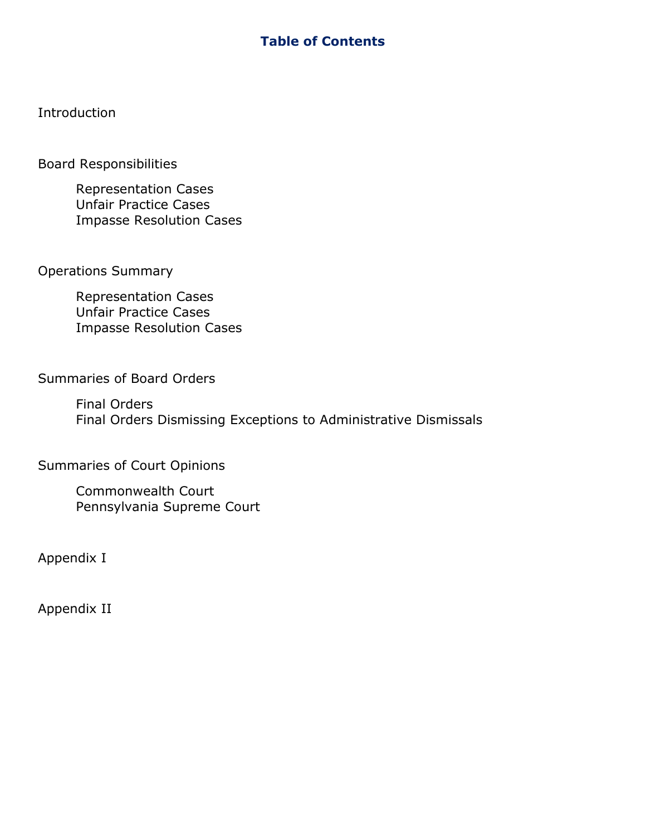# **Table of Contents**

Introduction

Board Responsibilities

Representation Cases Unfair Practice Cases Impasse Resolution Cases

Operations Summary

Representation Cases Unfair Practice Cases Impasse Resolution Cases

Summaries of Board Orders

Final Orders Final Orders Dismissing Exceptions to Administrative Dismissals

Summaries of Court Opinions

Commonwealth Court Pennsylvania Supreme Court

Appendix I

Appendix II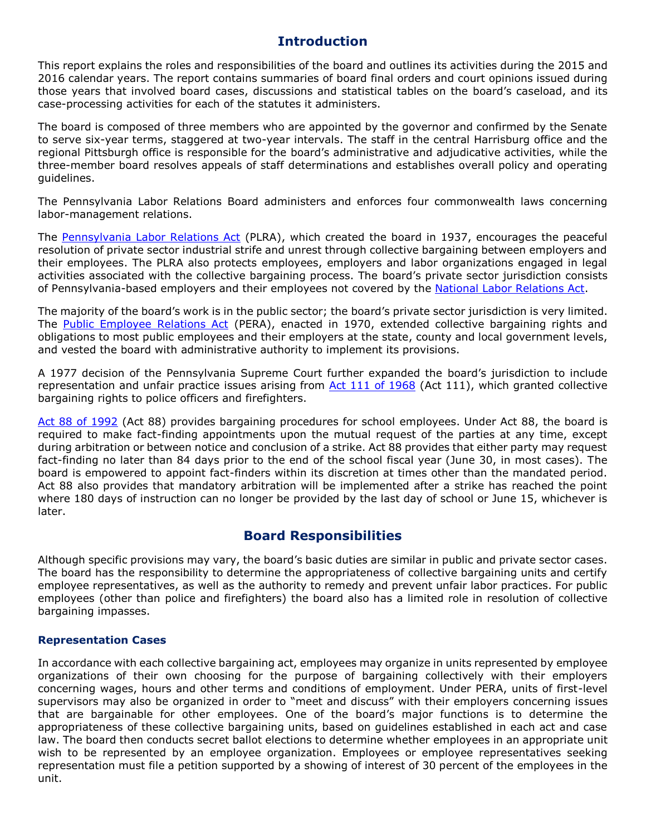# **Introduction**

This report explains the roles and responsibilities of the board and outlines its activities during the 2015 and 2016 calendar years. The report contains summaries of board final orders and court opinions issued during those years that involved board cases, discussions and statistical tables on the board's caseload, and its case-processing activities for each of the statutes it administers.

The board is composed of three members who are appointed by the governor and confirmed by the Senate to serve six-year terms, staggered at two-year intervals. The staff in the central Harrisburg office and the regional Pittsburgh office is responsible for the board's administrative and adjudicative activities, while the three-member board resolves appeals of staff determinations and establishes overall policy and operating guidelines.

The Pennsylvania Labor Relations Board administers and enforces four commonwealth laws concerning labor-management relations.

The [Pennsylvania Labor Relations Act](http://www.portal.state.pa.us/portal/server.pt?open=514&objID=552984&mode=2) (PLRA), which created the board in 1937, encourages the peaceful resolution of private sector industrial strife and unrest through collective bargaining between employers and their employees. The PLRA also protects employees, employers and labor organizations engaged in legal activities associated with the collective bargaining process. The board's private sector jurisdiction consists of Pennsylvania-based employers and their employees not covered by the [National Labor Relations Act.](http://nlrb.gov/national-labor-relations-act)

The majority of the board's work is in the public sector; the board's private sector jurisdiction is very limited. The [Public Employee](http://www.portal.state.pa.us/portal/server.pt?open=514&objID=552991&mode=2) Relations Act (PERA), enacted in 1970, extended collective bargaining rights and obligations to most public employees and their employers at the state, county and local government levels, and vested the board with administrative authority to implement its provisions.

A 1977 decision of the Pennsylvania Supreme Court further expanded the board's jurisdiction to include representation and unfair practice issues arising from [Act 111 of 1968](http://www.portal.state.pa.us/portal/server.pt?open=514&objID=552988&mode=2) (Act 111), which granted collective bargaining rights to police officers and firefighters.

[Act 88 of 1992](http://www.portal.state.pa.us/portal/server.pt?open=514&objID=552940&mode=2) (Act 88) provides bargaining procedures for school employees. Under Act 88, the board is required to make fact-finding appointments upon the mutual request of the parties at any time, except during arbitration or between notice and conclusion of a strike. Act 88 provides that either party may request fact-finding no later than 84 days prior to the end of the school fiscal year (June 30, in most cases). The board is empowered to appoint fact-finders within its discretion at times other than the mandated period. Act 88 also provides that mandatory arbitration will be implemented after a strike has reached the point where 180 days of instruction can no longer be provided by the last day of school or June 15, whichever is later.

# **Board Responsibilities**

Although specific provisions may vary, the board's basic duties are similar in public and private sector cases. The board has the responsibility to determine the appropriateness of collective bargaining units and certify employee representatives, as well as the authority to remedy and prevent unfair labor practices. For public employees (other than police and firefighters) the board also has a limited role in resolution of collective bargaining impasses.

### **Representation Cases**

In accordance with each collective bargaining act, employees may organize in units represented by employee organizations of their own choosing for the purpose of bargaining collectively with their employers concerning wages, hours and other terms and conditions of employment. Under PERA, units of first-level supervisors may also be organized in order to "meet and discuss" with their employers concerning issues that are bargainable for other employees. One of the board's major functions is to determine the appropriateness of these collective bargaining units, based on guidelines established in each act and case law. The board then conducts secret ballot elections to determine whether employees in an appropriate unit wish to be represented by an employee organization. Employees or employee representatives seeking representation must file a petition supported by a showing of interest of 30 percent of the employees in the unit.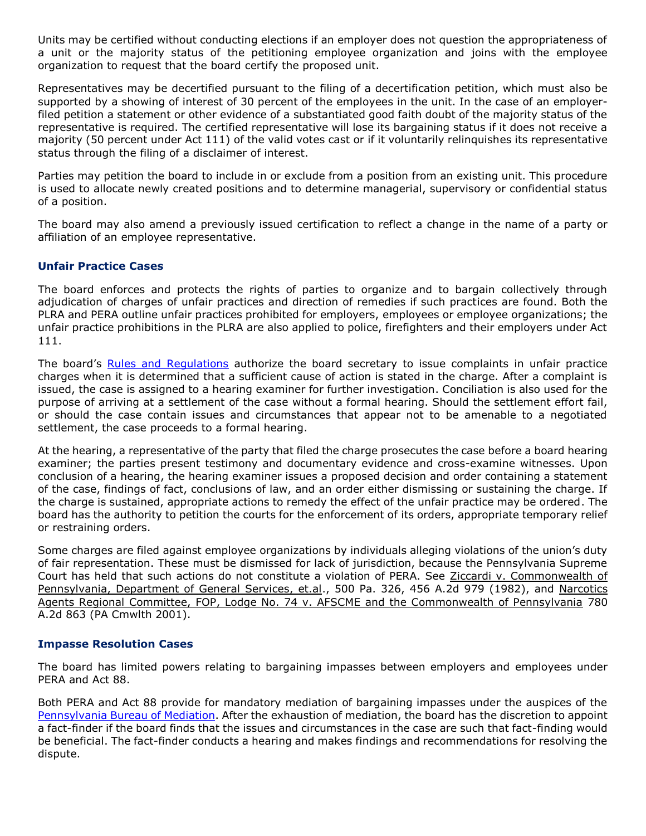Units may be certified without conducting elections if an employer does not question the appropriateness of a unit or the majority status of the petitioning employee organization and joins with the employee organization to request that the board certify the proposed unit.

Representatives may be decertified pursuant to the filing of a decertification petition, which must also be supported by a showing of interest of 30 percent of the employees in the unit. In the case of an employerfiled petition a statement or other evidence of a substantiated good faith doubt of the majority status of the representative is required. The certified representative will lose its bargaining status if it does not receive a majority (50 percent under Act 111) of the valid votes cast or if it voluntarily relinquishes its representative status through the filing of a disclaimer of interest.

Parties may petition the board to include in or exclude from a position from an existing unit. This procedure is used to allocate newly created positions and to determine managerial, supervisory or confidential status of a position.

The board may also amend a previously issued certification to reflect a change in the name of a party or affiliation of an employee representative.

## **Unfair Practice Cases**

The board enforces and protects the rights of parties to organize and to bargain collectively through adjudication of charges of unfair practices and direction of remedies if such practices are found. Both the PLRA and PERA outline unfair practices prohibited for employers, employees or employee organizations; the unfair practice prohibitions in the PLRA are also applied to police, firefighters and their employers under Act 111.

The board's [Rules and Regulations](http://www.portal.state.pa.us/portal/server.pt?open=514&objID=552985&mode=2) authorize the board secretary to issue complaints in unfair practice charges when it is determined that a sufficient cause of action is stated in the charge. After a complaint is issued, the case is assigned to a hearing examiner for further investigation. Conciliation is also used for the purpose of arriving at a settlement of the case without a formal hearing. Should the settlement effort fail, or should the case contain issues and circumstances that appear not to be amenable to a negotiated settlement, the case proceeds to a formal hearing.

At the hearing, a representative of the party that filed the charge prosecutes the case before a board hearing examiner; the parties present testimony and documentary evidence and cross-examine witnesses. Upon conclusion of a hearing, the hearing examiner issues a proposed decision and order containing a statement of the case, findings of fact, conclusions of law, and an order either dismissing or sustaining the charge. If the charge is sustained, appropriate actions to remedy the effect of the unfair practice may be ordered. The board has the authority to petition the courts for the enforcement of its orders, appropriate temporary relief or restraining orders.

Some charges are filed against employee organizations by individuals alleging violations of the union's duty of fair representation. These must be dismissed for lack of jurisdiction, because the Pennsylvania Supreme Court has held that such actions do not constitute a violation of PERA. See Ziccardi v. Commonwealth of Pennsylvania, Department of General Services, et.al., 500 Pa. 326, 456 A.2d 979 (1982), and Narcotics Agents Regional Committee, FOP, Lodge No. 74 v. AFSCME and the Commonwealth of Pennsylvania 780 A.2d 863 (PA Cmwlth 2001).

### **Impasse Resolution Cases**

The board has limited powers relating to bargaining impasses between employers and employees under PERA and Act 88.

Both PERA and Act 88 provide for mandatory mediation of bargaining impasses under the auspices of the [Pennsylvania Bureau of Mediation.](http://www.dli.state.pa.us/portal/server.pt/community/mediation_services/10522) After the exhaustion of mediation, the board has the discretion to appoint a fact-finder if the board finds that the issues and circumstances in the case are such that fact-finding would be beneficial. The fact-finder conducts a hearing and makes findings and recommendations for resolving the dispute.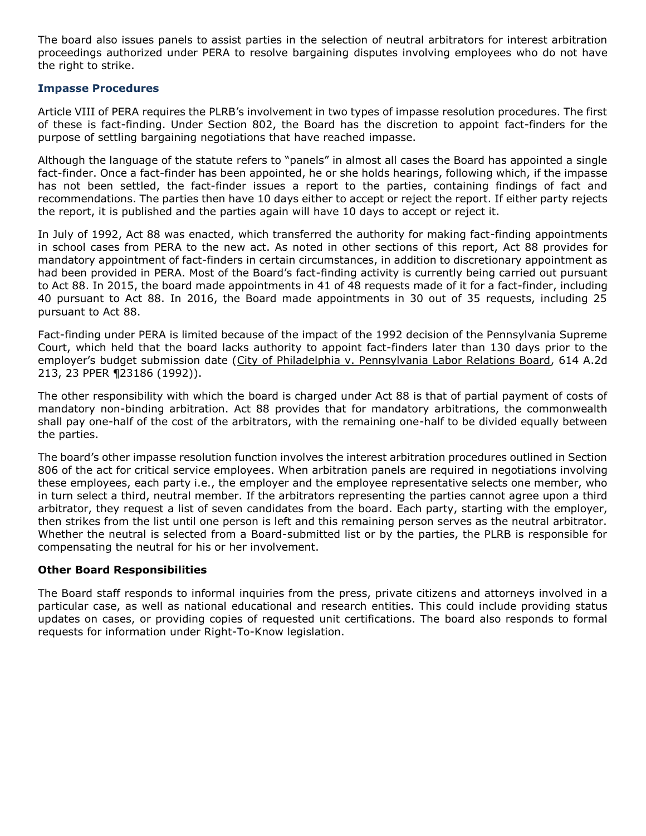The board also issues panels to assist parties in the selection of neutral arbitrators for interest arbitration proceedings authorized under PERA to resolve bargaining disputes involving employees who do not have the right to strike.

#### **Impasse Procedures**

Article VIII of PERA requires the PLRB's involvement in two types of impasse resolution procedures. The first of these is fact-finding. Under Section 802, the Board has the discretion to appoint fact-finders for the purpose of settling bargaining negotiations that have reached impasse.

Although the language of the statute refers to "panels" in almost all cases the Board has appointed a single fact-finder. Once a fact-finder has been appointed, he or she holds hearings, following which, if the impasse has not been settled, the fact-finder issues a report to the parties, containing findings of fact and recommendations. The parties then have 10 days either to accept or reject the report. If either party rejects the report, it is published and the parties again will have 10 days to accept or reject it.

In July of 1992, Act 88 was enacted, which transferred the authority for making fact-finding appointments in school cases from PERA to the new act. As noted in other sections of this report, Act 88 provides for mandatory appointment of fact-finders in certain circumstances, in addition to discretionary appointment as had been provided in PERA. Most of the Board's fact-finding activity is currently being carried out pursuant to Act 88. In 2015, the board made appointments in 41 of 48 requests made of it for a fact-finder, including 40 pursuant to Act 88. In 2016, the Board made appointments in 30 out of 35 requests, including 25 pursuant to Act 88.

Fact-finding under PERA is limited because of the impact of the 1992 decision of the Pennsylvania Supreme Court, which held that the board lacks authority to appoint fact-finders later than 130 days prior to the employer's budget submission date (City of Philadelphia v. Pennsylvania Labor Relations Board, 614 A.2d 213, 23 PPER ¶23186 (1992)).

The other responsibility with which the board is charged under Act 88 is that of partial payment of costs of mandatory non-binding arbitration. Act 88 provides that for mandatory arbitrations, the commonwealth shall pay one-half of the cost of the arbitrators, with the remaining one-half to be divided equally between the parties.

The board's other impasse resolution function involves the interest arbitration procedures outlined in Section 806 of the act for critical service employees. When arbitration panels are required in negotiations involving these employees, each party i.e., the employer and the employee representative selects one member, who in turn select a third, neutral member. If the arbitrators representing the parties cannot agree upon a third arbitrator, they request a list of seven candidates from the board. Each party, starting with the employer, then strikes from the list until one person is left and this remaining person serves as the neutral arbitrator. Whether the neutral is selected from a Board-submitted list or by the parties, the PLRB is responsible for compensating the neutral for his or her involvement.

### **Other Board Responsibilities**

The Board staff responds to informal inquiries from the press, private citizens and attorneys involved in a particular case, as well as national educational and research entities. This could include providing status updates on cases, or providing copies of requested unit certifications. The board also responds to formal requests for information under Right-To-Know legislation.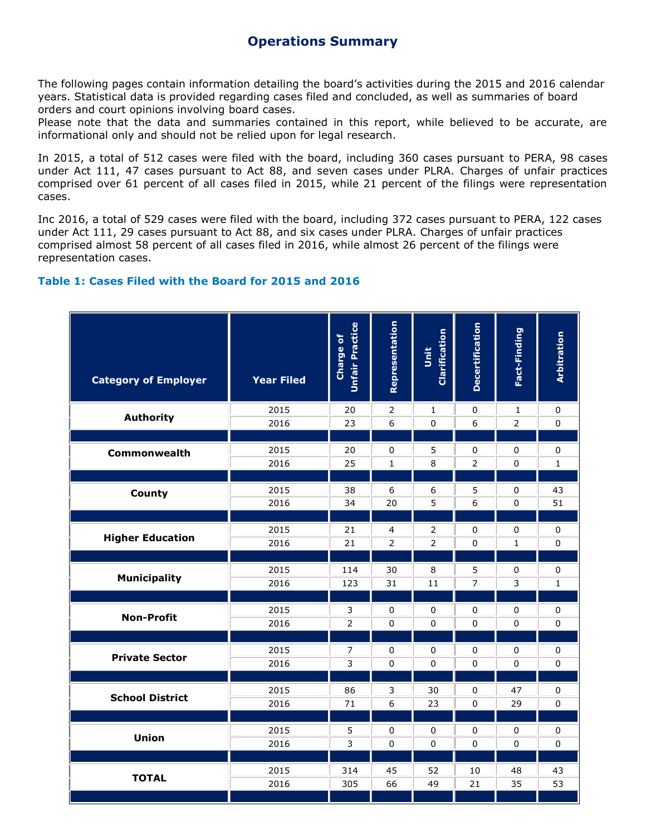# **Operations Summary**

The following pages contain information detailing the board's activities during the 2015 and 2016 calendar years. Statistical data is provided regarding cases filed and concluded, as well as summaries of board orders and court opinions involving board cases.

Please note that the data and summaries contained in this report, while believed to be accurate, are informational only and should not be relied upon for legal research.

In 2015, a total of 512 cases were filed with the board, including 360 cases pursuant to PERA, 98 cases under Act 111, 47 cases pursuant to Act 88, and seven cases under PLRA. Charges of unfair practices comprised over 61 percent of all cases filed in 2015, while 21 percent of the filings were representation cases.

Inc 2016, a total of 529 cases were filed with the board, including 372 cases pursuant to PERA, 122 cases under Act 111, 29 cases pursuant to Act 88, and six cases under PLRA. Charges of unfair practices comprised almost 58 percent of all cases filed in 2016, while almost 26 percent of the filings were representation cases.

## **Table 1: Cases Filed with the Board for 2015 and 2016**

| <b>Category of Employer</b> | <b>Year Filed</b> | Unfair Practice<br>Charge of | Representation   | Clarification<br>jš | <b>Decertification</b> | Fact-Finding   | Arbitration  |
|-----------------------------|-------------------|------------------------------|------------------|---------------------|------------------------|----------------|--------------|
| <b>Authority</b>            | 2015              | 20                           | 2                | 1                   | 0                      | $\mathbf{1}$   | $\pmb{0}$    |
|                             | 2016              | 23                           | $\boldsymbol{6}$ | $\pmb{0}$           | 6                      | $\overline{2}$ | 0            |
| Commonwealth                | 2015              | 20                           | $\pmb{0}$        | 5                   | $\pmb{0}$              | $\pmb{0}$      | 0            |
|                             | 2016              | 25                           | $\mathbf{1}$     | 8                   | $\overline{2}$         | $\Omega$       | $\mathbf{1}$ |
| <b>County</b>               | 2015              | 38                           | $\boldsymbol{6}$ | 6                   | 5                      | $\pmb{0}$      | 43           |
|                             | 2016              | 34                           | 20               | 5                   | 6                      | $\mathbf 0$    | 51           |
| <b>Higher Education</b>     | 2015              | 21                           | $\overline{4}$   | 2                   | 0                      | $\pmb{0}$      | $\pmb{0}$    |
|                             | 2016              | 21                           | $\overline{2}$   | $\overline{2}$      | $\mathbf 0$            | $\mathbf{1}$   | $\Omega$     |
| <b>Municipality</b>         | 2015              | 114                          | 30               | 8                   | 5                      | 0              | 0            |
|                             | 2016              | 123                          | 31               | 11                  | $\overline{7}$         | 3              | $\mathbf 1$  |
| <b>Non-Profit</b>           | 2015              | 3                            | $\mathbf 0$      | 0                   | 0                      | 0              | 0            |
|                             | 2016              | $\overline{2}$               | $\pmb{0}$        | $\pmb{0}$           | 0                      | 0              | $\pmb{0}$    |
| <b>Private Sector</b>       | 2015              | $\overline{7}$               | 0                | $\pmb{0}$           | $\pmb{0}$              | 0              | $\pmb{0}$    |
|                             | 2016              | $\overline{3}$               | $\mathbf 0$      | 0                   | 0                      | $\Omega$       | $\mathbf 0$  |
| <b>School District</b>      | 2015              | 86                           | 3                | 30                  | 0                      | 47             | $\pmb{0}$    |
|                             | 2016              | 71                           | $\boldsymbol{6}$ | 23                  | $\pmb{0}$              | 29             | $\mathbf 0$  |
| Union                       | 2015              | 5                            | $\pmb{0}$        | 0                   | 0                      | 0              | $\pmb{0}$    |
|                             | 2016              | 3                            | $\pmb{0}$        | 0                   | $\mathbf 0$            | $\Omega$       | 0            |
| <b>TOTAL</b>                | 2015              | 314                          | 45               | 52                  | 10                     | 48             | 43           |
|                             | 2016              | 305                          | 66               | 49                  | 21                     | 35             | 53           |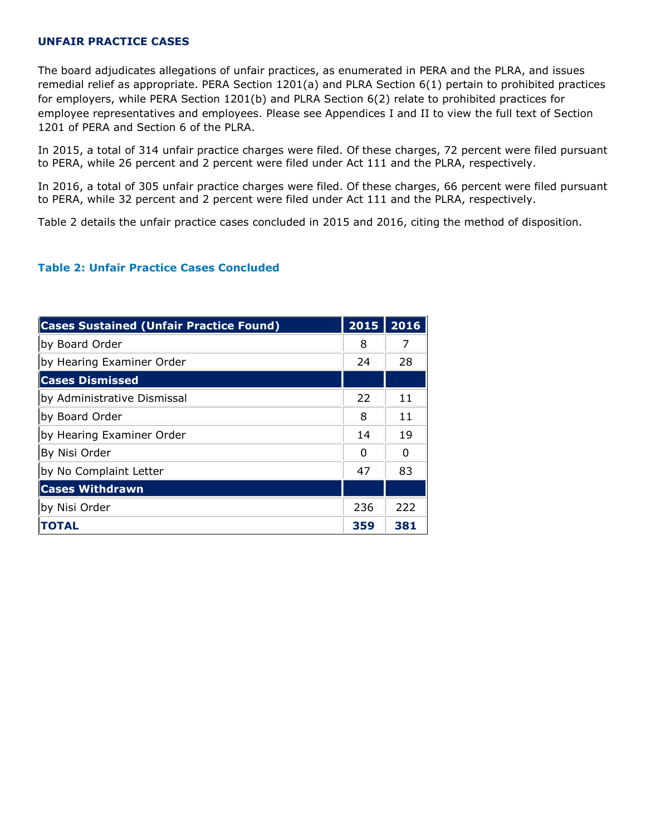## **UNFAIR PRACTICE CASES**

The board adjudicates allegations of unfair practices, as enumerated in PERA and the PLRA, and issues remedial relief as appropriate. PERA Section 1201(a) and PLRA Section 6(1) pertain to prohibited practices for employers, while PERA Section 1201(b) and PLRA Section 6(2) relate to prohibited practices for employee representatives and employees. Please see Appendices I and II to view the full text of Section 1201 of PERA and Section 6 of the PLRA.

In 2015, a total of 314 unfair practice charges were filed. Of these charges, 72 percent were filed pursuant to PERA, while 26 percent and 2 percent were filed under Act 111 and the PLRA, respectively.

In 2016, a total of 305 unfair practice charges were filed. Of these charges, 66 percent were filed pursuant to PERA, while 32 percent and 2 percent were filed under Act 111 and the PLRA, respectively.

Table 2 details the unfair practice cases concluded in 2015 and 2016, citing the method of disposition.

## **Table 2: Unfair Practice Cases Concluded**

| <b>Cases Sustained (Unfair Practice Found)</b> | 2015 | 2016 |
|------------------------------------------------|------|------|
| by Board Order                                 | 8    | 7    |
| by Hearing Examiner Order                      | 24   | 28   |
| <b>Cases Dismissed</b>                         |      |      |
| by Administrative Dismissal                    | 22   | 11   |
| by Board Order                                 | 8    | 11   |
| by Hearing Examiner Order                      | 14   | 19   |
| By Nisi Order                                  | 0    | 0    |
| by No Complaint Letter                         | 47   | 83   |
| <b>Cases Withdrawn</b>                         |      |      |
| by Nisi Order                                  | 236  | 222  |
| <b>TOTAL</b>                                   | 359  | 381  |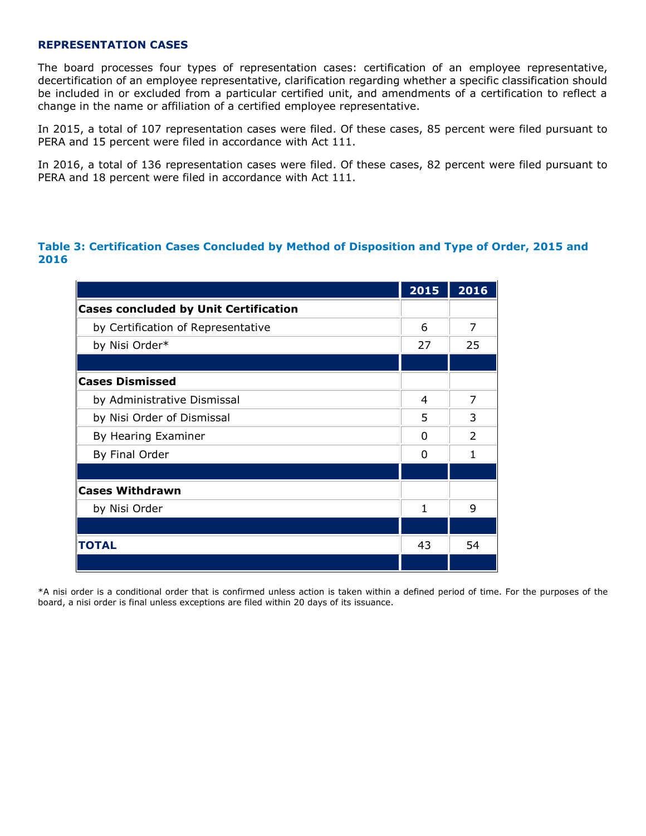#### **REPRESENTATION CASES**

The board processes four types of representation cases: certification of an employee representative, decertification of an employee representative, clarification regarding whether a specific classification should be included in or excluded from a particular certified unit, and amendments of a certification to reflect a change in the name or affiliation of a certified employee representative.

In 2015, a total of 107 representation cases were filed. Of these cases, 85 percent were filed pursuant to PERA and 15 percent were filed in accordance with Act 111.

In 2016, a total of 136 representation cases were filed. Of these cases, 82 percent were filed pursuant to PERA and 18 percent were filed in accordance with Act 111.

## **Table 3: Certification Cases Concluded by Method of Disposition and Type of Order, 2015 and 2016**

|                                              | 2015     | 2016           |
|----------------------------------------------|----------|----------------|
| <b>Cases concluded by Unit Certification</b> |          |                |
| by Certification of Representative           | 6        | 7              |
| by Nisi Order*                               | 27       | 25             |
|                                              |          |                |
| <b>Cases Dismissed</b>                       |          |                |
| by Administrative Dismissal                  | 4        | 7              |
| by Nisi Order of Dismissal                   | 5        | 3              |
| By Hearing Examiner                          | $\Omega$ | $\mathfrak{D}$ |
| By Final Order                               | $\Omega$ | 1              |
|                                              |          |                |
| <b>Cases Withdrawn</b>                       |          |                |
| by Nisi Order                                | 1        | 9              |
|                                              |          |                |
| <b>TOTAL</b>                                 | 43       | 54             |
|                                              |          |                |

\*A nisi order is a conditional order that is confirmed unless action is taken within a defined period of time. For the purposes of the board, a nisi order is final unless exceptions are filed within 20 days of its issuance.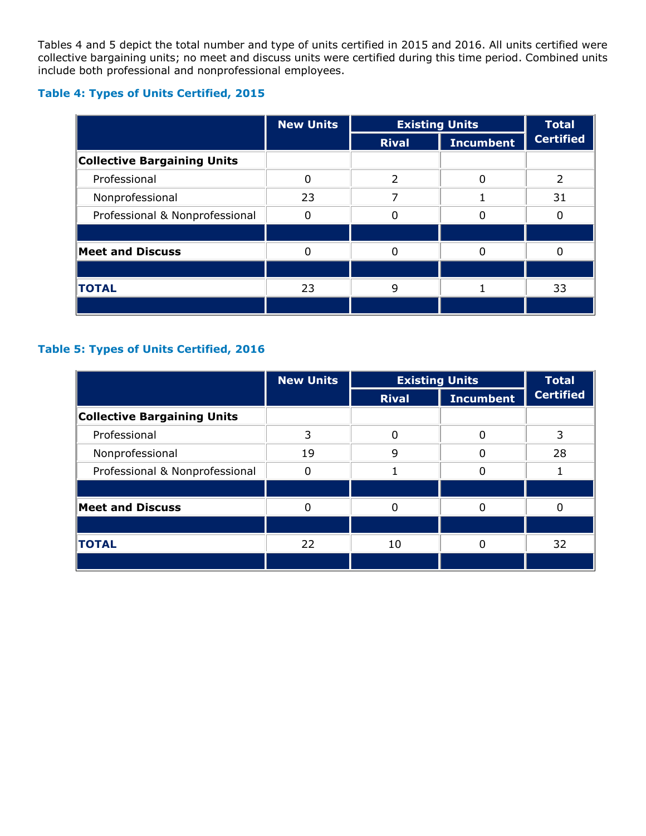Tables 4 and 5 depict the total number and type of units certified in 2015 and 2016. All units certified were collective bargaining units; no meet and discuss units were certified during this time period. Combined units include both professional and nonprofessional employees.

# **Table 4: Types of Units Certified, 2015**

|                                    | <b>New Units</b> | <b>Existing Units</b> |                  | <b>Total</b>     |
|------------------------------------|------------------|-----------------------|------------------|------------------|
|                                    |                  | <b>Rival</b>          | <b>Incumbent</b> | <b>Certified</b> |
| <b>Collective Bargaining Units</b> |                  |                       |                  |                  |
| Professional                       |                  | フ                     |                  |                  |
| Nonprofessional                    | 23               |                       |                  | 31               |
| Professional & Nonprofessional     |                  |                       |                  |                  |
|                                    |                  |                       |                  |                  |
| <b>Meet and Discuss</b>            |                  |                       |                  |                  |
|                                    |                  |                       |                  |                  |
| <b>TOTAL</b>                       | 23               | q                     |                  | 33               |
|                                    |                  |                       |                  |                  |

# **Table 5: Types of Units Certified, 2016**

|                                    | <b>New Units</b> | <b>Existing Units</b> |                  | <b>Total</b>     |
|------------------------------------|------------------|-----------------------|------------------|------------------|
|                                    |                  | <b>Rival</b>          | <b>Incumbent</b> | <b>Certified</b> |
| <b>Collective Bargaining Units</b> |                  |                       |                  |                  |
| Professional                       | 3                | 0                     | 0                | 3                |
| Nonprofessional                    | 19               | q                     |                  | 28               |
| Professional & Nonprofessional     |                  |                       |                  |                  |
|                                    |                  |                       |                  |                  |
| <b>Meet and Discuss</b>            |                  |                       |                  |                  |
|                                    |                  |                       |                  |                  |
| <b>TOTAL</b>                       | 22               | 10                    |                  | 32               |
|                                    |                  |                       |                  |                  |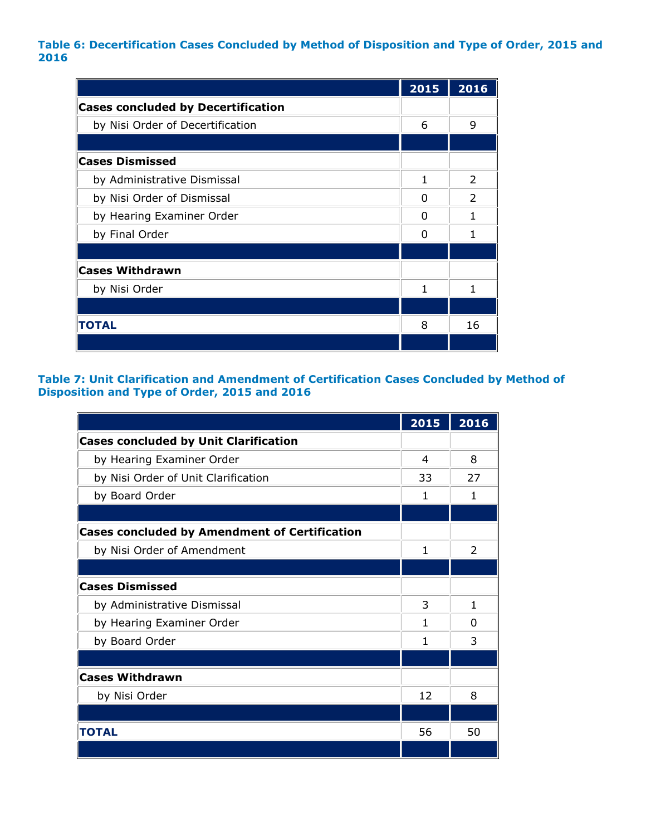## **Table 6: Decertification Cases Concluded by Method of Disposition and Type of Order, 2015 and 2016**

|                                           | 2015 | 2016          |
|-------------------------------------------|------|---------------|
| <b>Cases concluded by Decertification</b> |      |               |
| by Nisi Order of Decertification          | 6    | 9             |
|                                           |      |               |
| <b>Cases Dismissed</b>                    |      |               |
| by Administrative Dismissal               | 1    | $\mathcal{P}$ |
| by Nisi Order of Dismissal                | 0    | $\mathcal{P}$ |
| by Hearing Examiner Order                 | 0    | 1             |
| by Final Order                            | n    | 1             |
|                                           |      |               |
| <b>Cases Withdrawn</b>                    |      |               |
| by Nisi Order                             | 1    | 1             |
|                                           |      |               |
| <b>TOTAL</b>                              | 8    | 16            |
|                                           |      |               |

## **Table 7: Unit Clarification and Amendment of Certification Cases Concluded by Method of Disposition and Type of Order, 2015 and 2016**

|                                                      | 2015 | 2016          |
|------------------------------------------------------|------|---------------|
| <b>Cases concluded by Unit Clarification</b>         |      |               |
| by Hearing Examiner Order                            | 4    | 8             |
| by Nisi Order of Unit Clarification                  | 33   | 27            |
| by Board Order                                       | 1    | 1             |
|                                                      |      |               |
| <b>Cases concluded by Amendment of Certification</b> |      |               |
| by Nisi Order of Amendment                           | 1    | $\mathcal{P}$ |
|                                                      |      |               |
| <b>Cases Dismissed</b>                               |      |               |
| by Administrative Dismissal                          | 3    | $\mathbf{1}$  |
| by Hearing Examiner Order                            | 1    | 0             |
| by Board Order                                       | 1    | 3             |
|                                                      |      |               |
| <b>Cases Withdrawn</b>                               |      |               |
| by Nisi Order                                        | 12   | 8             |
|                                                      |      |               |
| <b>TOTAL</b>                                         | 56   | 50            |
|                                                      |      |               |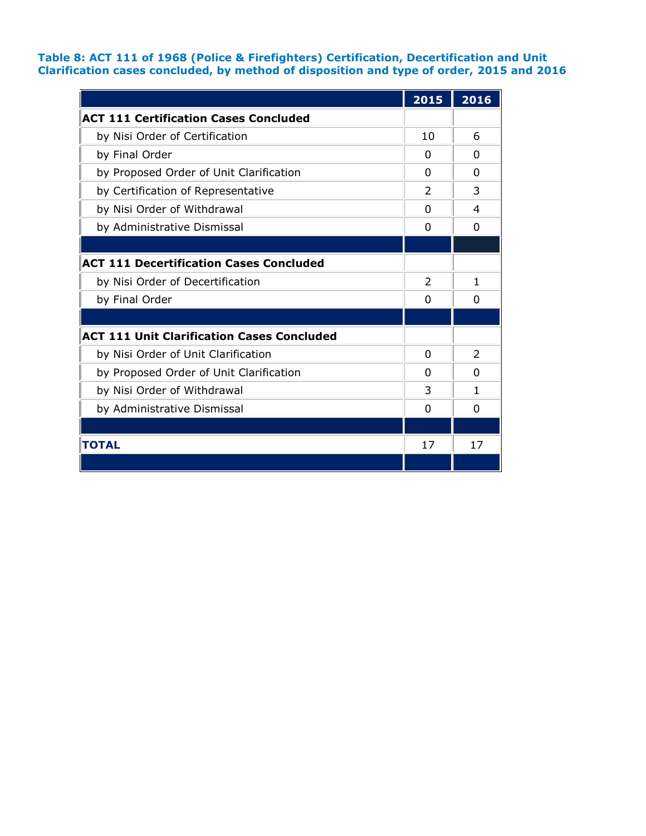### **Table 8: ACT 111 of 1968 (Police & Firefighters) Certification, Decertification and Unit Clarification cases concluded, by method of disposition and type of order, 2015 and 2016**

|                                                   | 2015           | 2016           |
|---------------------------------------------------|----------------|----------------|
| <b>ACT 111 Certification Cases Concluded</b>      |                |                |
| by Nisi Order of Certification                    | 10             | 6              |
| by Final Order                                    | <sup>0</sup>   | 0              |
| by Proposed Order of Unit Clarification           | <sup>0</sup>   | 0              |
| by Certification of Representative                | $\mathcal{P}$  | 3              |
| by Nisi Order of Withdrawal                       | <sup>0</sup>   | 4              |
| by Administrative Dismissal                       | 0              | 0              |
|                                                   |                |                |
| <b>ACT 111 Decertification Cases Concluded</b>    |                |                |
| by Nisi Order of Decertification                  | $\overline{2}$ | 1              |
| by Final Order                                    | <sup>0</sup>   | 0              |
|                                                   |                |                |
| <b>ACT 111 Unit Clarification Cases Concluded</b> |                |                |
| by Nisi Order of Unit Clarification               | 0              | $\overline{2}$ |
| by Proposed Order of Unit Clarification           | <sup>0</sup>   | 0              |
| by Nisi Order of Withdrawal                       | 3              | 1              |
| by Administrative Dismissal                       | 0              | $\Omega$       |
|                                                   |                |                |
| <b>TOTAL</b>                                      | 17             | 17             |
|                                                   |                |                |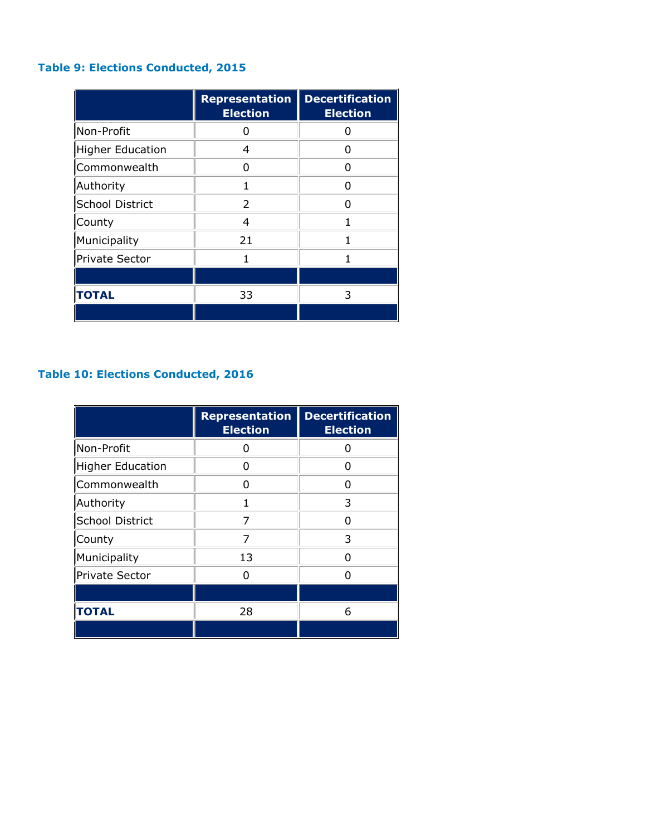# **Table 9: Elections Conducted, 2015**

|                         | <b>Representation</b><br><b>Election</b> | <b>Decertification</b><br><b>Election</b> |
|-------------------------|------------------------------------------|-------------------------------------------|
| Non-Profit              | O                                        | O                                         |
| <b>Higher Education</b> | 4                                        | U                                         |
| Commonwealth            | n                                        | n                                         |
| Authority               | 1                                        | n                                         |
| <b>School District</b>  | $\mathcal{P}$                            | n                                         |
| County                  | 4                                        | 1                                         |
| Municipality            | 21                                       | 1                                         |
| Private Sector          | 1                                        | 1                                         |
|                         |                                          |                                           |
| <b>TOTAL</b>            | 33                                       | 3                                         |
|                         |                                          |                                           |

# **Table 10: Elections Conducted, 2016**

|                         | <b>Representation</b><br><b>Election</b> | <b>Decertification</b><br><b>Election</b> |
|-------------------------|------------------------------------------|-------------------------------------------|
| Non-Profit              | 0                                        | 0                                         |
| <b>Higher Education</b> | O                                        | n                                         |
| Commonwealth            | n                                        | n                                         |
| Authority               | 1                                        | 3                                         |
| <b>School District</b>  | 7                                        | n                                         |
| County                  | 7                                        | 3                                         |
| Municipality            | 13                                       | n                                         |
| <b>Private Sector</b>   | n                                        | n                                         |
|                         |                                          |                                           |
| <b>TOTAL</b>            | 28                                       | 6                                         |
|                         |                                          |                                           |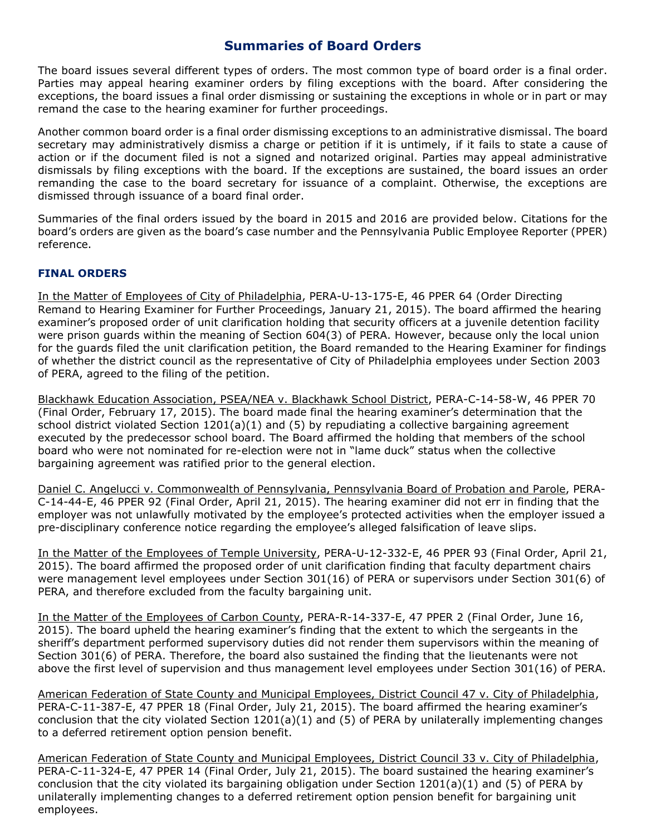# **Summaries of Board Orders**

The board issues several different types of orders. The most common type of board order is a final order. Parties may appeal hearing examiner orders by filing exceptions with the board. After considering the exceptions, the board issues a final order dismissing or sustaining the exceptions in whole or in part or may remand the case to the hearing examiner for further proceedings.

Another common board order is a final order dismissing exceptions to an administrative dismissal. The board secretary may administratively dismiss a charge or petition if it is untimely, if it fails to state a cause of action or if the document filed is not a signed and notarized original. Parties may appeal administrative dismissals by filing exceptions with the board. If the exceptions are sustained, the board issues an order remanding the case to the board secretary for issuance of a complaint. Otherwise, the exceptions are dismissed through issuance of a board final order.

Summaries of the final orders issued by the board in 2015 and 2016 are provided below. Citations for the board's orders are given as the board's case number and the Pennsylvania Public Employee Reporter (PPER) reference.

## **FINAL ORDERS**

In the Matter of Employees of City of Philadelphia, PERA-U-13-175-E, 46 PPER 64 (Order Directing Remand to Hearing Examiner for Further Proceedings, January 21, 2015). The board affirmed the hearing examiner's proposed order of unit clarification holding that security officers at a juvenile detention facility were prison guards within the meaning of Section 604(3) of PERA. However, because only the local union for the guards filed the unit clarification petition, the Board remanded to the Hearing Examiner for findings of whether the district council as the representative of City of Philadelphia employees under Section 2003 of PERA, agreed to the filing of the petition.

Blackhawk Education Association, PSEA/NEA v. Blackhawk School District, PERA-C-14-58-W, 46 PPER 70 (Final Order, February 17, 2015). The board made final the hearing examiner's determination that the school district violated Section 1201(a)(1) and (5) by repudiating a collective bargaining agreement executed by the predecessor school board. The Board affirmed the holding that members of the school board who were not nominated for re-election were not in "lame duck" status when the collective bargaining agreement was ratified prior to the general election.

Daniel C. Angelucci v. Commonwealth of Pennsylvania, Pennsylvania Board of Probation and Parole, PERA-C-14-44-E, 46 PPER 92 (Final Order, April 21, 2015). The hearing examiner did not err in finding that the employer was not unlawfully motivated by the employee's protected activities when the employer issued a pre-disciplinary conference notice regarding the employee's alleged falsification of leave slips.

In the Matter of the Employees of Temple University, PERA-U-12-332-E, 46 PPER 93 (Final Order, April 21, 2015). The board affirmed the proposed order of unit clarification finding that faculty department chairs were management level employees under Section 301(16) of PERA or supervisors under Section 301(6) of PERA, and therefore excluded from the faculty bargaining unit.

In the Matter of the Employees of Carbon County, PERA-R-14-337-E, 47 PPER 2 (Final Order, June 16, 2015). The board upheld the hearing examiner's finding that the extent to which the sergeants in the sheriff's department performed supervisory duties did not render them supervisors within the meaning of Section 301(6) of PERA. Therefore, the board also sustained the finding that the lieutenants were not above the first level of supervision and thus management level employees under Section 301(16) of PERA.

American Federation of State County and Municipal Employees, District Council 47 v. City of Philadelphia, PERA-C-11-387-E, 47 PPER 18 (Final Order, July 21, 2015). The board affirmed the hearing examiner's conclusion that the city violated Section 1201(a)(1) and (5) of PERA by unilaterally implementing changes to a deferred retirement option pension benefit.

American Federation of State County and Municipal Employees, District Council 33 v. City of Philadelphia, PERA-C-11-324-E, 47 PPER 14 (Final Order, July 21, 2015). The board sustained the hearing examiner's conclusion that the city violated its bargaining obligation under Section 1201(a)(1) and (5) of PERA by unilaterally implementing changes to a deferred retirement option pension benefit for bargaining unit employees.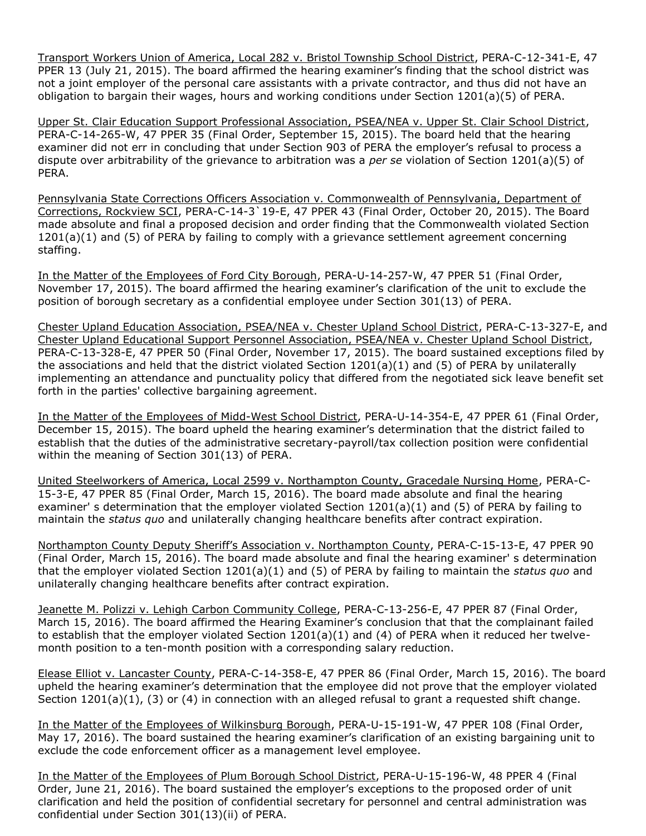Transport Workers Union of America, Local 282 v. Bristol Township School District, PERA-C-12-341-E, 47 PPER 13 (July 21, 2015). The board affirmed the hearing examiner's finding that the school district was not a joint employer of the personal care assistants with a private contractor, and thus did not have an obligation to bargain their wages, hours and working conditions under Section 1201(a)(5) of PERA.

Upper St. Clair Education Support Professional Association, PSEA/NEA v. Upper St. Clair School District, PERA-C-14-265-W, 47 PPER 35 (Final Order, September 15, 2015). The board held that the hearing examiner did not err in concluding that under Section 903 of PERA the employer's refusal to process a dispute over arbitrability of the grievance to arbitration was a *per se* violation of Section 1201(a)(5) of PERA.

Pennsylvania State Corrections Officers Association v. Commonwealth of Pennsylvania, Department of Corrections, Rockview SCI, PERA-C-14-3`19-E, 47 PPER 43 (Final Order, October 20, 2015). The Board made absolute and final a proposed decision and order finding that the Commonwealth violated Section 1201(a)(1) and (5) of PERA by failing to comply with a grievance settlement agreement concerning staffing.

In the Matter of the Employees of Ford City Borough, PERA-U-14-257-W, 47 PPER 51 (Final Order, November 17, 2015). The board affirmed the hearing examiner's clarification of the unit to exclude the position of borough secretary as a confidential employee under Section 301(13) of PERA.

Chester Upland Education Association, PSEA/NEA v. Chester Upland School District, PERA-C-13-327-E, and Chester Upland Educational Support Personnel Association, PSEA/NEA v. Chester Upland School District, PERA-C-13-328-E, 47 PPER 50 (Final Order, November 17, 2015). The board sustained exceptions filed by the associations and held that the district violated Section 1201(a)(1) and (5) of PERA by unilaterally implementing an attendance and punctuality policy that differed from the negotiated sick leave benefit set forth in the parties' collective bargaining agreement.

In the Matter of the Employees of Midd-West School District, PERA-U-14-354-E, 47 PPER 61 (Final Order, December 15, 2015). The board upheld the hearing examiner's determination that the district failed to establish that the duties of the administrative secretary-payroll/tax collection position were confidential within the meaning of Section 301(13) of PERA.

United Steelworkers of America, Local 2599 v. Northampton County, Gracedale Nursing Home, PERA-C-15-3-E, 47 PPER 85 (Final Order, March 15, 2016). The board made absolute and final the hearing examiner' s determination that the employer violated Section 1201(a)(1) and (5) of PERA by failing to maintain the *status quo* and unilaterally changing healthcare benefits after contract expiration.

Northampton County Deputy Sheriff's Association v. Northampton County, PERA-C-15-13-E, 47 PPER 90 (Final Order, March 15, 2016). The board made absolute and final the hearing examiner' s determination that the employer violated Section 1201(a)(1) and (5) of PERA by failing to maintain the *status quo* and unilaterally changing healthcare benefits after contract expiration.

Jeanette M. Polizzi v. Lehigh Carbon Community College, PERA-C-13-256-E, 47 PPER 87 (Final Order, March 15, 2016). The board affirmed the Hearing Examiner's conclusion that that the complainant failed to establish that the employer violated Section 1201(a)(1) and (4) of PERA when it reduced her twelvemonth position to a ten-month position with a corresponding salary reduction.

Elease Elliot v. Lancaster County, PERA-C-14-358-E, 47 PPER 86 (Final Order, March 15, 2016). The board upheld the hearing examiner's determination that the employee did not prove that the employer violated Section 1201(a)(1), (3) or (4) in connection with an alleged refusal to grant a requested shift change.

In the Matter of the Employees of Wilkinsburg Borough, PERA-U-15-191-W, 47 PPER 108 (Final Order, May 17, 2016). The board sustained the hearing examiner's clarification of an existing bargaining unit to exclude the code enforcement officer as a management level employee.

In the Matter of the Employees of Plum Borough School District, PERA-U-15-196-W, 48 PPER 4 (Final Order, June 21, 2016). The board sustained the employer's exceptions to the proposed order of unit clarification and held the position of confidential secretary for personnel and central administration was confidential under Section 301(13)(ii) of PERA.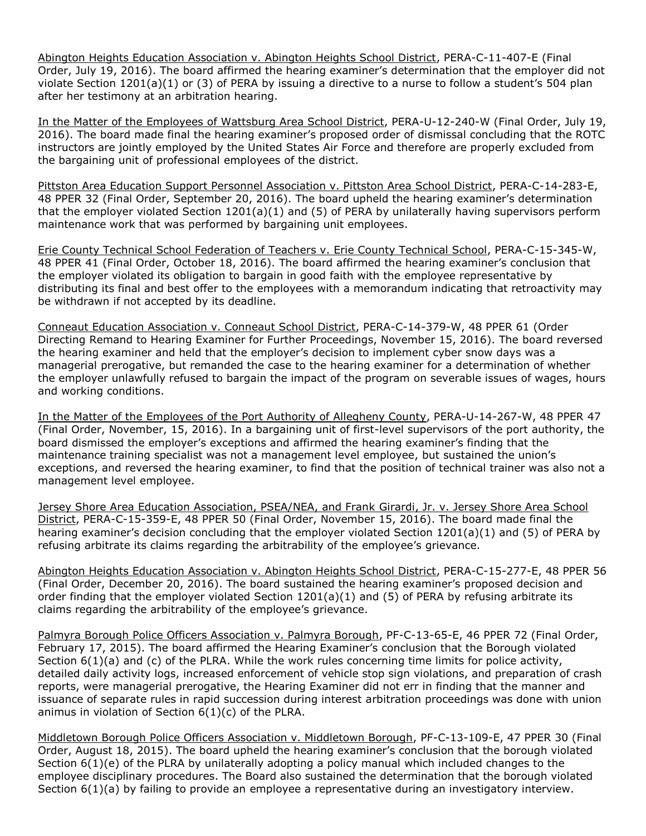Abington Heights Education Association v. Abington Heights School District, PERA-C-11-407-E (Final Order, July 19, 2016). The board affirmed the hearing examiner's determination that the employer did not violate Section 1201(a)(1) or (3) of PERA by issuing a directive to a nurse to follow a student's 504 plan after her testimony at an arbitration hearing.

In the Matter of the Employees of Wattsburg Area School District, PERA-U-12-240-W (Final Order, July 19, 2016). The board made final the hearing examiner's proposed order of dismissal concluding that the ROTC instructors are jointly employed by the United States Air Force and therefore are properly excluded from the bargaining unit of professional employees of the district.

Pittston Area Education Support Personnel Association v. Pittston Area School District, PERA-C-14-283-E, 48 PPER 32 (Final Order, September 20, 2016). The board upheld the hearing examiner's determination that the employer violated Section  $1201(a)(1)$  and (5) of PERA by unilaterally having supervisors perform maintenance work that was performed by bargaining unit employees.

Erie County Technical School Federation of Teachers v. Erie County Technical School, PERA-C-15-345-W, 48 PPER 41 (Final Order, October 18, 2016). The board affirmed the hearing examiner's conclusion that the employer violated its obligation to bargain in good faith with the employee representative by distributing its final and best offer to the employees with a memorandum indicating that retroactivity may be withdrawn if not accepted by its deadline.

Conneaut Education Association v. Conneaut School District, PERA-C-14-379-W, 48 PPER 61 (Order Directing Remand to Hearing Examiner for Further Proceedings, November 15, 2016). The board reversed the hearing examiner and held that the employer's decision to implement cyber snow days was a managerial prerogative, but remanded the case to the hearing examiner for a determination of whether the employer unlawfully refused to bargain the impact of the program on severable issues of wages, hours and working conditions.

In the Matter of the Employees of the Port Authority of Allegheny County, PERA-U-14-267-W, 48 PPER 47 (Final Order, November, 15, 2016). In a bargaining unit of first-level supervisors of the port authority, the board dismissed the employer's exceptions and affirmed the hearing examiner's finding that the maintenance training specialist was not a management level employee, but sustained the union's exceptions, and reversed the hearing examiner, to find that the position of technical trainer was also not a management level employee.

Jersey Shore Area Education Association, PSEA/NEA, and Frank Girardi, Jr. v. Jersey Shore Area School District, PERA-C-15-359-E, 48 PPER 50 (Final Order, November 15, 2016). The board made final the hearing examiner's decision concluding that the employer violated Section 1201(a)(1) and (5) of PERA by refusing arbitrate its claims regarding the arbitrability of the employee's grievance.

Abington Heights Education Association v. Abington Heights School District, PERA-C-15-277-E, 48 PPER 56 (Final Order, December 20, 2016). The board sustained the hearing examiner's proposed decision and order finding that the employer violated Section 1201(a)(1) and (5) of PERA by refusing arbitrate its claims regarding the arbitrability of the employee's grievance.

Palmyra Borough Police Officers Association v. Palmyra Borough, PF-C-13-65-E, 46 PPER 72 (Final Order, February 17, 2015). The board affirmed the Hearing Examiner's conclusion that the Borough violated Section 6(1)(a) and (c) of the PLRA. While the work rules concerning time limits for police activity, detailed daily activity logs, increased enforcement of vehicle stop sign violations, and preparation of crash reports, were managerial prerogative, the Hearing Examiner did not err in finding that the manner and issuance of separate rules in rapid succession during interest arbitration proceedings was done with union animus in violation of Section  $6(1)(c)$  of the PLRA.

Middletown Borough Police Officers Association v. Middletown Borough, PF-C-13-109-E, 47 PPER 30 (Final Order, August 18, 2015). The board upheld the hearing examiner's conclusion that the borough violated Section 6(1)(e) of the PLRA by unilaterally adopting a policy manual which included changes to the employee disciplinary procedures. The Board also sustained the determination that the borough violated Section 6(1)(a) by failing to provide an employee a representative during an investigatory interview.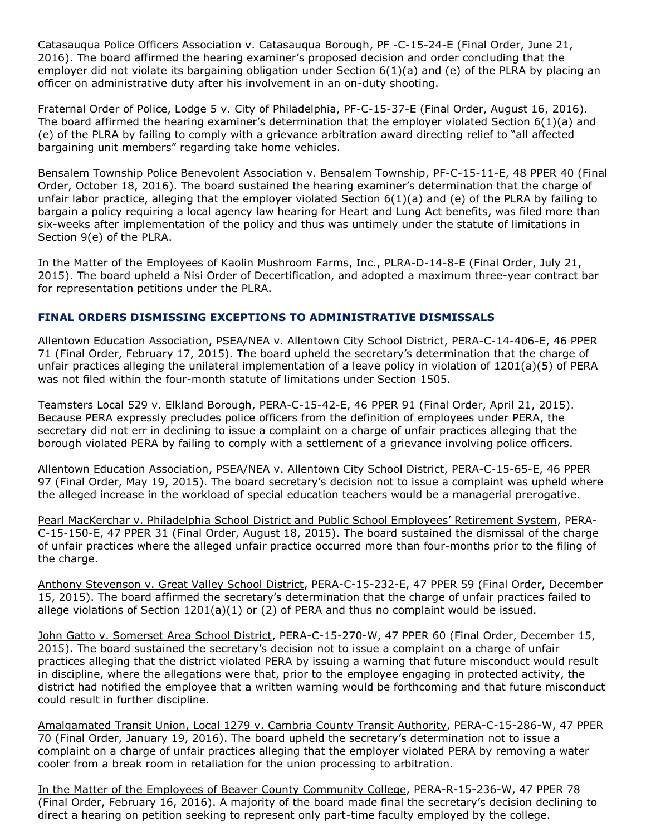Catasauqua Police Officers Association v. Catasauqua Borough, PF -C-15-24-E (Final Order, June 21, 2016). The board affirmed the hearing examiner's proposed decision and order concluding that the employer did not violate its bargaining obligation under Section 6(1)(a) and (e) of the PLRA by placing an officer on administrative duty after his involvement in an on-duty shooting.

Fraternal Order of Police, Lodge 5 v. City of Philadelphia, PF-C-15-37-E (Final Order, August 16, 2016). The board affirmed the hearing examiner's determination that the employer violated Section 6(1)(a) and (e) of the PLRA by failing to comply with a grievance arbitration award directing relief to "all affected bargaining unit members" regarding take home vehicles.

Bensalem Township Police Benevolent Association v. Bensalem Township, PF-C-15-11-E, 48 PPER 40 (Final Order, October 18, 2016). The board sustained the hearing examiner's determination that the charge of unfair labor practice, alleging that the employer violated Section 6(1)(a) and (e) of the PLRA by failing to bargain a policy requiring a local agency law hearing for Heart and Lung Act benefits, was filed more than six-weeks after implementation of the policy and thus was untimely under the statute of limitations in Section 9(e) of the PLRA.

In the Matter of the Employees of Kaolin Mushroom Farms, Inc., PLRA-D-14-8-E (Final Order, July 21, 2015). The board upheld a Nisi Order of Decertification, and adopted a maximum three-year contract bar for representation petitions under the PLRA.

## **FINAL ORDERS DISMISSING EXCEPTIONS TO ADMINISTRATIVE DISMISSALS**

Allentown Education Association, PSEA/NEA v. Allentown City School District, PERA-C-14-406-E, 46 PPER 71 (Final Order, February 17, 2015). The board upheld the secretary's determination that the charge of unfair practices alleging the unilateral implementation of a leave policy in violation of 1201(a)(5) of PERA was not filed within the four-month statute of limitations under Section 1505.

Teamsters Local 529 v. Elkland Borough, PERA-C-15-42-E, 46 PPER 91 (Final Order, April 21, 2015). Because PERA expressly precludes police officers from the definition of employees under PERA, the secretary did not err in declining to issue a complaint on a charge of unfair practices alleging that the borough violated PERA by failing to comply with a settlement of a grievance involving police officers.

Allentown Education Association, PSEA/NEA v. Allentown City School District, PERA-C-15-65-E, 46 PPER 97 (Final Order, May 19, 2015). The board secretary's decision not to issue a complaint was upheld where the alleged increase in the workload of special education teachers would be a managerial prerogative.

Pearl MacKerchar v. Philadelphia School District and Public School Employees' Retirement System, PERA-C-15-150-E, 47 PPER 31 (Final Order, August 18, 2015). The board sustained the dismissal of the charge of unfair practices where the alleged unfair practice occurred more than four-months prior to the filing of the charge.

Anthony Stevenson v. Great Valley School District, PERA-C-15-232-E, 47 PPER 59 (Final Order, December 15, 2015). The board affirmed the secretary's determination that the charge of unfair practices failed to allege violations of Section 1201(a)(1) or (2) of PERA and thus no complaint would be issued.

John Gatto v. Somerset Area School District, PERA-C-15-270-W, 47 PPER 60 (Final Order, December 15, 2015). The board sustained the secretary's decision not to issue a complaint on a charge of unfair practices alleging that the district violated PERA by issuing a warning that future misconduct would result in discipline, where the allegations were that, prior to the employee engaging in protected activity, the district had notified the employee that a written warning would be forthcoming and that future misconduct could result in further discipline.

Amalgamated Transit Union, Local 1279 v. Cambria County Transit Authority, PERA-C-15-286-W, 47 PPER 70 (Final Order, January 19, 2016). The board upheld the secretary's determination not to issue a complaint on a charge of unfair practices alleging that the employer violated PERA by removing a water cooler from a break room in retaliation for the union processing to arbitration.

In the Matter of the Employees of Beaver County Community College, PERA-R-15-236-W, 47 PPER 78 (Final Order, February 16, 2016). A majority of the board made final the secretary's decision declining to direct a hearing on petition seeking to represent only part-time faculty employed by the college.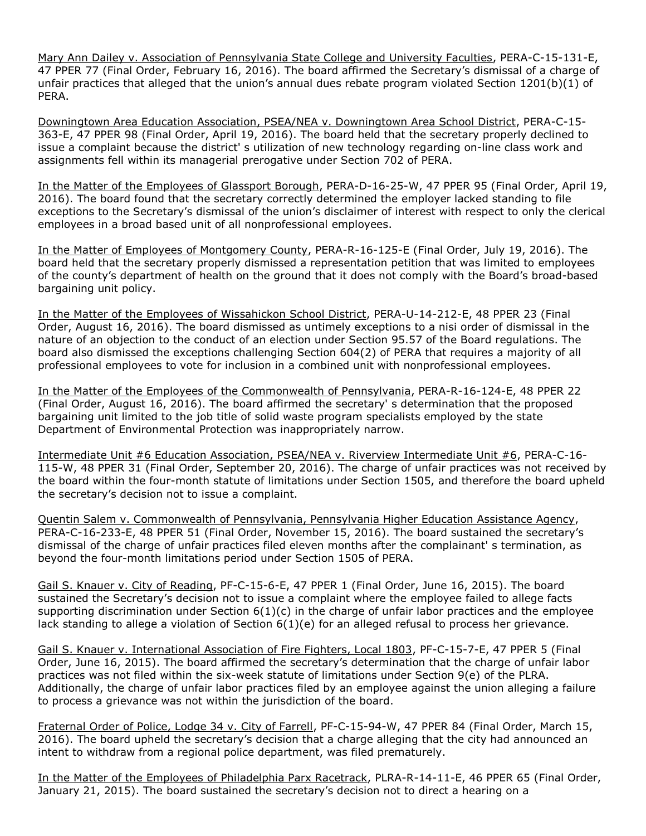Mary Ann Dailey v. Association of Pennsylvania State College and University Faculties, PERA-C-15-131-E, 47 PPER 77 (Final Order, February 16, 2016). The board affirmed the Secretary's dismissal of a charge of unfair practices that alleged that the union's annual dues rebate program violated Section 1201(b)(1) of PERA.

Downingtown Area Education Association, PSEA/NEA v. Downingtown Area School District, PERA-C-15- 363-E, 47 PPER 98 (Final Order, April 19, 2016). The board held that the secretary properly declined to issue a complaint because the district' s utilization of new technology regarding on-line class work and assignments fell within its managerial prerogative under Section 702 of PERA.

In the Matter of the Employees of Glassport Borough, PERA-D-16-25-W, 47 PPER 95 (Final Order, April 19, 2016). The board found that the secretary correctly determined the employer lacked standing to file exceptions to the Secretary's dismissal of the union's disclaimer of interest with respect to only the clerical employees in a broad based unit of all nonprofessional employees.

In the Matter of Employees of Montgomery County, PERA-R-16-125-E (Final Order, July 19, 2016). The board held that the secretary properly dismissed a representation petition that was limited to employees of the county's department of health on the ground that it does not comply with the Board's broad-based bargaining unit policy.

In the Matter of the Employees of Wissahickon School District, PERA-U-14-212-E, 48 PPER 23 (Final Order, August 16, 2016). The board dismissed as untimely exceptions to a nisi order of dismissal in the nature of an objection to the conduct of an election under Section 95.57 of the Board regulations. The board also dismissed the exceptions challenging Section 604(2) of PERA that requires a majority of all professional employees to vote for inclusion in a combined unit with nonprofessional employees.

In the Matter of the Employees of the Commonwealth of Pennsylvania, PERA-R-16-124-E, 48 PPER 22 (Final Order, August 16, 2016). The board affirmed the secretary' s determination that the proposed bargaining unit limited to the job title of solid waste program specialists employed by the state Department of Environmental Protection was inappropriately narrow.

Intermediate Unit #6 Education Association, PSEA/NEA v. Riverview Intermediate Unit #6, PERA-C-16- 115-W, 48 PPER 31 (Final Order, September 20, 2016). The charge of unfair practices was not received by the board within the four-month statute of limitations under Section 1505, and therefore the board upheld the secretary's decision not to issue a complaint.

Quentin Salem v. Commonwealth of Pennsylvania, Pennsylvania Higher Education Assistance Agency, PERA-C-16-233-E, 48 PPER 51 (Final Order, November 15, 2016). The board sustained the secretary's dismissal of the charge of unfair practices filed eleven months after the complainant' s termination, as beyond the four-month limitations period under Section 1505 of PERA.

Gail S. Knauer v. City of Reading, PF-C-15-6-E, 47 PPER 1 (Final Order, June 16, 2015). The board sustained the Secretary's decision not to issue a complaint where the employee failed to allege facts supporting discrimination under Section  $6(1)(c)$  in the charge of unfair labor practices and the employee lack standing to allege a violation of Section 6(1)(e) for an alleged refusal to process her grievance.

Gail S. Knauer v. International Association of Fire Fighters, Local 1803, PF-C-15-7-E, 47 PPER 5 (Final Order, June 16, 2015). The board affirmed the secretary's determination that the charge of unfair labor practices was not filed within the six-week statute of limitations under Section 9(e) of the PLRA. Additionally, the charge of unfair labor practices filed by an employee against the union alleging a failure to process a grievance was not within the jurisdiction of the board.

Fraternal Order of Police, Lodge 34 v. City of Farrell, PF-C-15-94-W, 47 PPER 84 (Final Order, March 15, 2016). The board upheld the secretary's decision that a charge alleging that the city had announced an intent to withdraw from a regional police department, was filed prematurely.

In the Matter of the Employees of Philadelphia Parx Racetrack, PLRA-R-14-11-E, 46 PPER 65 (Final Order, January 21, 2015). The board sustained the secretary's decision not to direct a hearing on a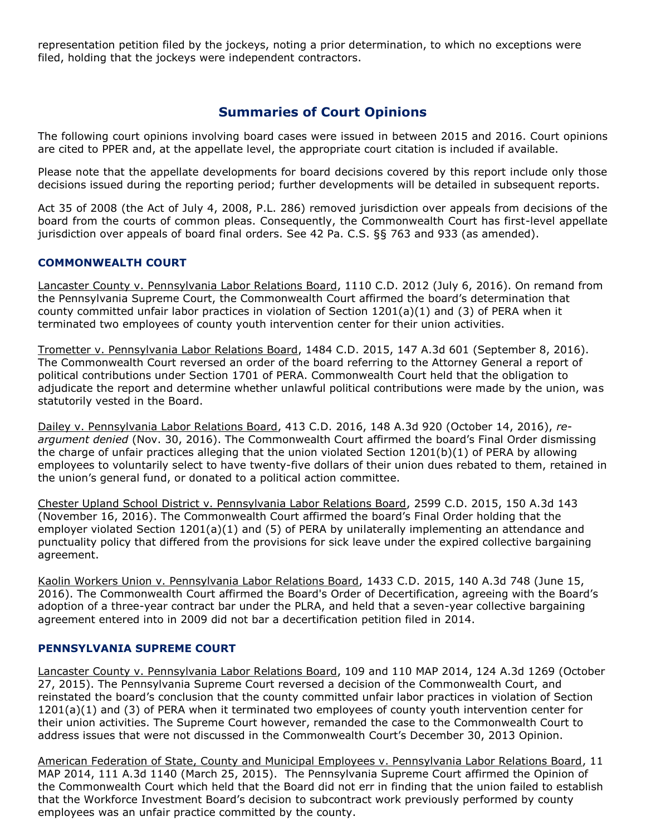representation petition filed by the jockeys, noting a prior determination, to which no exceptions were filed, holding that the jockeys were independent contractors.

# **Summaries of Court Opinions**

The following court opinions involving board cases were issued in between 2015 and 2016. Court opinions are cited to PPER and, at the appellate level, the appropriate court citation is included if available.

Please note that the appellate developments for board decisions covered by this report include only those decisions issued during the reporting period; further developments will be detailed in subsequent reports.

Act 35 of 2008 (the Act of July 4, 2008, P.L. 286) removed jurisdiction over appeals from decisions of the board from the courts of common pleas. Consequently, the Commonwealth Court has first-level appellate jurisdiction over appeals of board final orders. See 42 Pa. C.S. §§ 763 and 933 (as amended).

## **COMMONWEALTH COURT**

Lancaster County v. Pennsylvania Labor Relations Board, 1110 C.D. 2012 (July 6, 2016). On remand from the Pennsylvania Supreme Court, the Commonwealth Court affirmed the board's determination that county committed unfair labor practices in violation of Section 1201(a)(1) and (3) of PERA when it terminated two employees of county youth intervention center for their union activities.

Trometter v. Pennsylvania Labor Relations Board, 1484 C.D. 2015, 147 A.3d 601 (September 8, 2016). The Commonwealth Court reversed an order of the board referring to the Attorney General a report of political contributions under Section 1701 of PERA. Commonwealth Court held that the obligation to adjudicate the report and determine whether unlawful political contributions were made by the union, was statutorily vested in the Board.

Dailey v. Pennsylvania Labor Relations Board, 413 C.D. 2016, 148 A.3d 920 (October 14, 2016), *reargument denied* (Nov. 30, 2016). The Commonwealth Court affirmed the board's Final Order dismissing the charge of unfair practices alleging that the union violated Section 1201(b)(1) of PERA by allowing employees to voluntarily select to have twenty-five dollars of their union dues rebated to them, retained in the union's general fund, or donated to a political action committee.

Chester Upland School District v. Pennsylvania Labor Relations Board, 2599 C.D. 2015, 150 A.3d 143 (November 16, 2016). The Commonwealth Court affirmed the board's Final Order holding that the employer violated Section 1201(a)(1) and (5) of PERA by unilaterally implementing an attendance and punctuality policy that differed from the provisions for sick leave under the expired collective bargaining agreement.

Kaolin Workers Union v. Pennsylvania Labor Relations Board, 1433 C.D. 2015, 140 A.3d 748 (June 15, 2016). The Commonwealth Court affirmed the Board's Order of Decertification, agreeing with the Board's adoption of a three-year contract bar under the PLRA, and held that a seven-year collective bargaining agreement entered into in 2009 did not bar a decertification petition filed in 2014.

### **PENNSYLVANIA SUPREME COURT**

Lancaster County v. Pennsylvania Labor Relations Board, 109 and 110 MAP 2014, 124 A.3d 1269 (October 27, 2015). The Pennsylvania Supreme Court reversed a decision of the Commonwealth Court, and reinstated the board's conclusion that the county committed unfair labor practices in violation of Section 1201(a)(1) and (3) of PERA when it terminated two employees of county youth intervention center for their union activities. The Supreme Court however, remanded the case to the Commonwealth Court to address issues that were not discussed in the Commonwealth Court's December 30, 2013 Opinion.

American Federation of State, County and Municipal Employees v. Pennsylvania Labor Relations Board, 11 MAP 2014, 111 A.3d 1140 (March 25, 2015). The Pennsylvania Supreme Court affirmed the Opinion of the Commonwealth Court which held that the Board did not err in finding that the union failed to establish that the Workforce Investment Board's decision to subcontract work previously performed by county employees was an unfair practice committed by the county.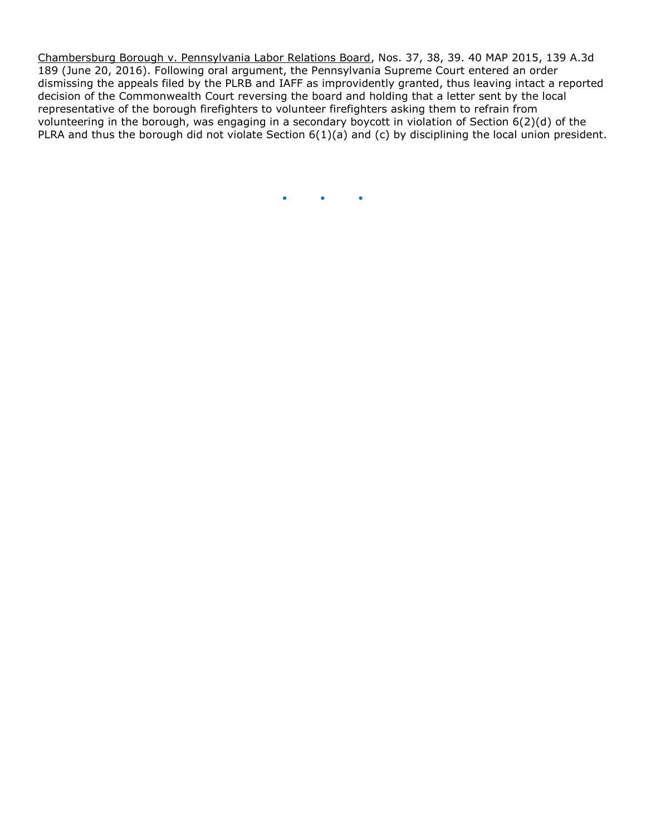Chambersburg Borough v. Pennsylvania Labor Relations Board, Nos. 37, 38, 39. 40 MAP 2015, 139 A.3d 189 (June 20, 2016). Following oral argument, the Pennsylvania Supreme Court entered an order dismissing the appeals filed by the PLRB and IAFF as improvidently granted, thus leaving intact a reported decision of the Commonwealth Court reversing the board and holding that a letter sent by the local representative of the borough firefighters to volunteer firefighters asking them to refrain from volunteering in the borough, was engaging in a secondary boycott in violation of Section 6(2)(d) of the PLRA and thus the borough did not violate Section 6(1)(a) and (c) by disciplining the local union president.

 $\bullet$   $\bullet$   $\bullet$   $\bullet$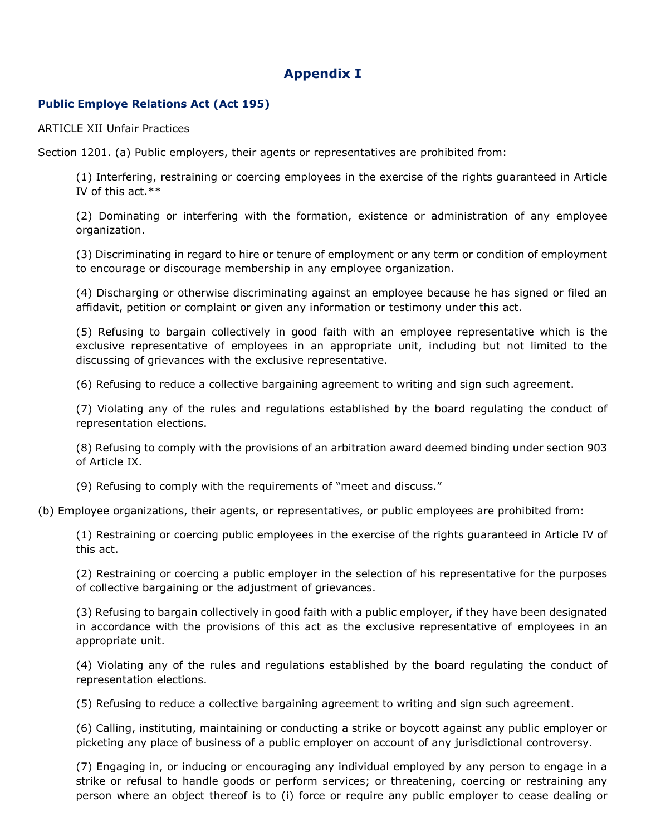# **Appendix I**

## **Public Employe Relations Act (Act 195)**

ARTICLE XII Unfair Practices

Section 1201. (a) Public employers, their agents or representatives are prohibited from:

(1) Interfering, restraining or coercing employees in the exercise of the rights guaranteed in Article IV of this act.\*\*

(2) Dominating or interfering with the formation, existence or administration of any employee organization.

(3) Discriminating in regard to hire or tenure of employment or any term or condition of employment to encourage or discourage membership in any employee organization.

(4) Discharging or otherwise discriminating against an employee because he has signed or filed an affidavit, petition or complaint or given any information or testimony under this act.

(5) Refusing to bargain collectively in good faith with an employee representative which is the exclusive representative of employees in an appropriate unit, including but not limited to the discussing of grievances with the exclusive representative.

(6) Refusing to reduce a collective bargaining agreement to writing and sign such agreement.

(7) Violating any of the rules and regulations established by the board regulating the conduct of representation elections.

(8) Refusing to comply with the provisions of an arbitration award deemed binding under section 903 of Article IX.

(9) Refusing to comply with the requirements of "meet and discuss."

(b) Employee organizations, their agents, or representatives, or public employees are prohibited from:

(1) Restraining or coercing public employees in the exercise of the rights guaranteed in Article IV of this act.

(2) Restraining or coercing a public employer in the selection of his representative for the purposes of collective bargaining or the adjustment of grievances.

(3) Refusing to bargain collectively in good faith with a public employer, if they have been designated in accordance with the provisions of this act as the exclusive representative of employees in an appropriate unit.

(4) Violating any of the rules and regulations established by the board regulating the conduct of representation elections.

(5) Refusing to reduce a collective bargaining agreement to writing and sign such agreement.

(6) Calling, instituting, maintaining or conducting a strike or boycott against any public employer or picketing any place of business of a public employer on account of any jurisdictional controversy.

(7) Engaging in, or inducing or encouraging any individual employed by any person to engage in a strike or refusal to handle goods or perform services; or threatening, coercing or restraining any person where an object thereof is to (i) force or require any public employer to cease dealing or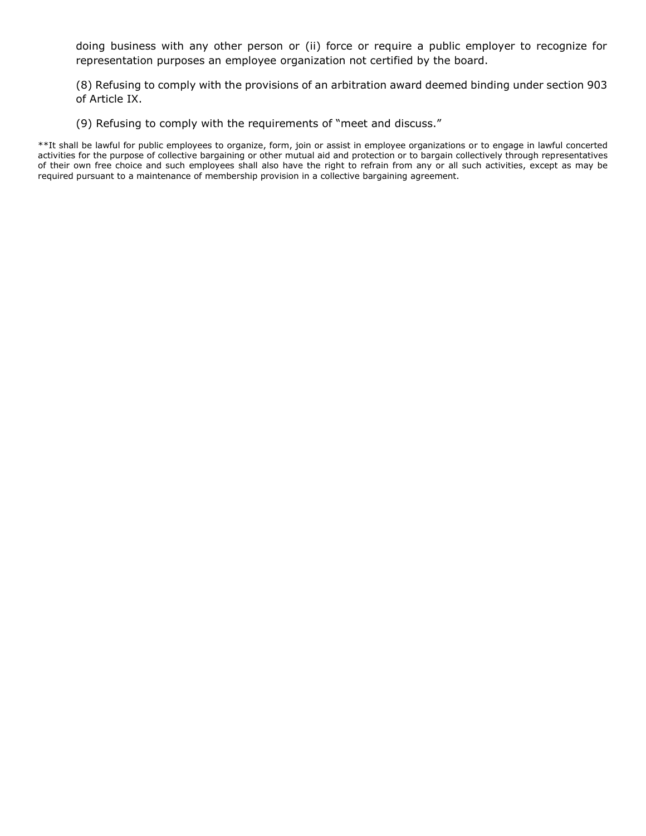doing business with any other person or (ii) force or require a public employer to recognize for representation purposes an employee organization not certified by the board.

(8) Refusing to comply with the provisions of an arbitration award deemed binding under section 903 of Article IX.

(9) Refusing to comply with the requirements of "meet and discuss."

\*\*It shall be lawful for public employees to organize, form, join or assist in employee organizations or to engage in lawful concerted activities for the purpose of collective bargaining or other mutual aid and protection or to bargain collectively through representatives of their own free choice and such employees shall also have the right to refrain from any or all such activities, except as may be required pursuant to a maintenance of membership provision in a collective bargaining agreement.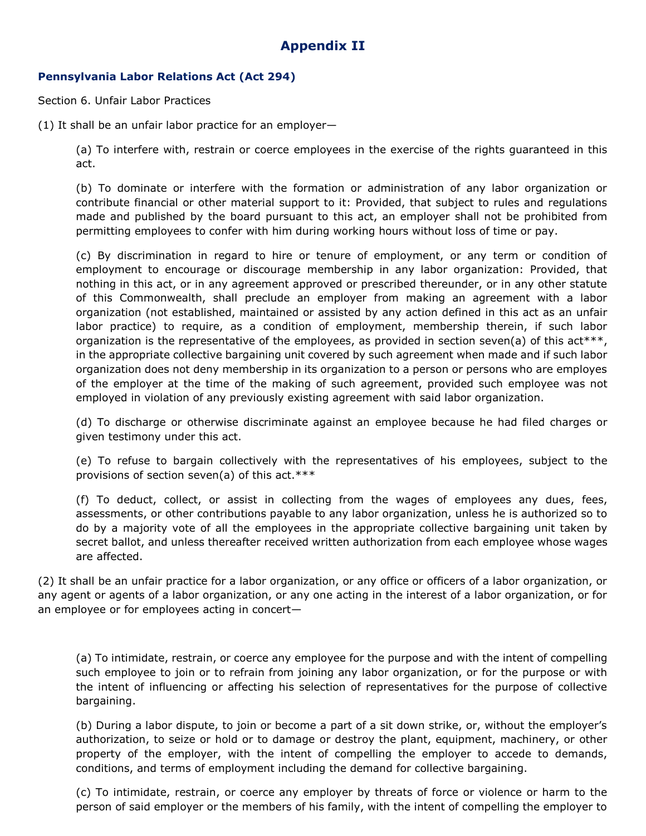# **Appendix II**

## **Pennsylvania Labor Relations Act (Act 294)**

Section 6. Unfair Labor Practices

(1) It shall be an unfair labor practice for an employer—

(a) To interfere with, restrain or coerce employees in the exercise of the rights guaranteed in this act.

(b) To dominate or interfere with the formation or administration of any labor organization or contribute financial or other material support to it: Provided, that subject to rules and regulations made and published by the board pursuant to this act, an employer shall not be prohibited from permitting employees to confer with him during working hours without loss of time or pay.

(c) By discrimination in regard to hire or tenure of employment, or any term or condition of employment to encourage or discourage membership in any labor organization: Provided, that nothing in this act, or in any agreement approved or prescribed thereunder, or in any other statute of this Commonwealth, shall preclude an employer from making an agreement with a labor organization (not established, maintained or assisted by any action defined in this act as an unfair labor practice) to require, as a condition of employment, membership therein, if such labor organization is the representative of the employees, as provided in section seven(a) of this  $act***$ , in the appropriate collective bargaining unit covered by such agreement when made and if such labor organization does not deny membership in its organization to a person or persons who are employes of the employer at the time of the making of such agreement, provided such employee was not employed in violation of any previously existing agreement with said labor organization.

(d) To discharge or otherwise discriminate against an employee because he had filed charges or given testimony under this act.

(e) To refuse to bargain collectively with the representatives of his employees, subject to the provisions of section seven(a) of this act.\*\*\*

(f) To deduct, collect, or assist in collecting from the wages of employees any dues, fees, assessments, or other contributions payable to any labor organization, unless he is authorized so to do by a majority vote of all the employees in the appropriate collective bargaining unit taken by secret ballot, and unless thereafter received written authorization from each employee whose wages are affected.

(2) It shall be an unfair practice for a labor organization, or any office or officers of a labor organization, or any agent or agents of a labor organization, or any one acting in the interest of a labor organization, or for an employee or for employees acting in concert—

(a) To intimidate, restrain, or coerce any employee for the purpose and with the intent of compelling such employee to join or to refrain from joining any labor organization, or for the purpose or with the intent of influencing or affecting his selection of representatives for the purpose of collective bargaining.

(b) During a labor dispute, to join or become a part of a sit down strike, or, without the employer's authorization, to seize or hold or to damage or destroy the plant, equipment, machinery, or other property of the employer, with the intent of compelling the employer to accede to demands, conditions, and terms of employment including the demand for collective bargaining.

(c) To intimidate, restrain, or coerce any employer by threats of force or violence or harm to the person of said employer or the members of his family, with the intent of compelling the employer to